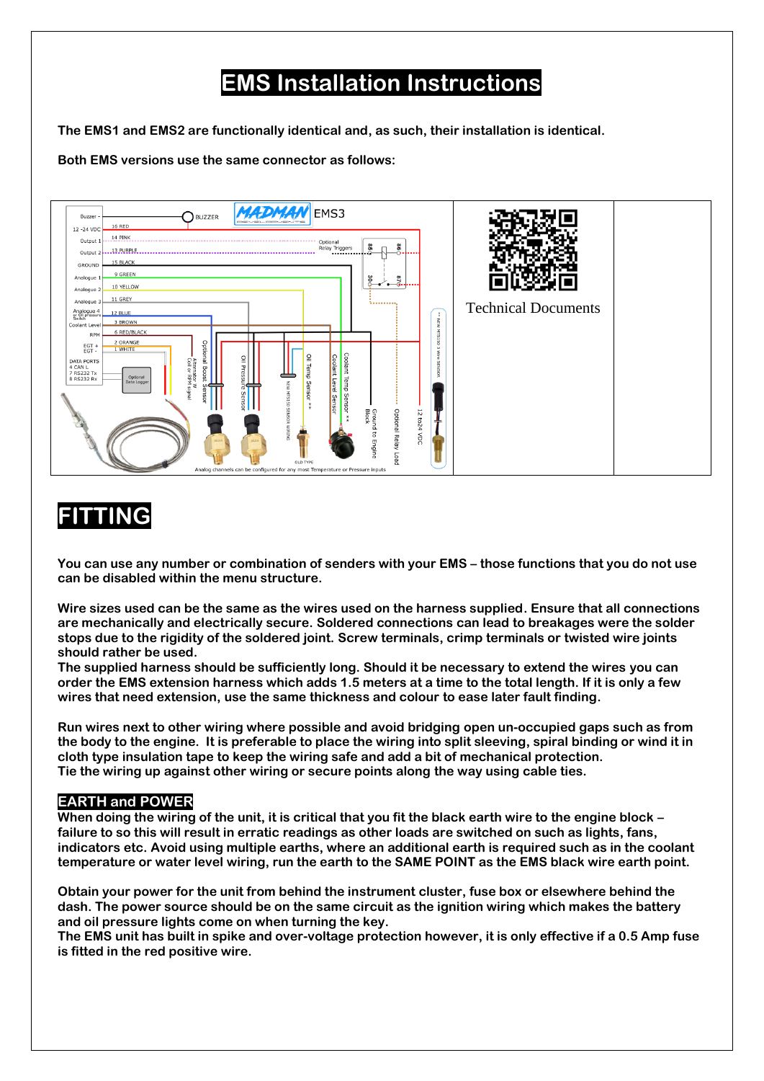# **EMS Installation Instructions**

**The EMS1 and EMS2 are functionally identical and, as such, their installation is identical.**

**Both EMS versions use the same connector as follows:**



# **FITTING**

**You can use any number or combination of senders with your EMS – those functions that you do not use can be disabled within the menu structure.**

**Wire sizes used can be the same as the wires used on the harness supplied. Ensure that all connections are mechanically and electrically secure. Soldered connections can lead to breakages were the solder stops due to the rigidity of the soldered joint. Screw terminals, crimp terminals or twisted wire joints should rather be used.**

**The supplied harness should be sufficiently long. Should it be necessary to extend the wires you can order the EMS extension harness which adds 1.5 meters at a time to the total length. If it is only a few wires that need extension, use the same thickness and colour to ease later fault finding.**

**Run wires next to other wiring where possible and avoid bridging open un-occupied gaps such as from the body to the engine. It is preferable to place the wiring into split sleeving, spiral binding or wind it in cloth type insulation tape to keep the wiring safe and add a bit of mechanical protection. Tie the wiring up against other wiring or secure points along the way using cable ties.**

#### **EARTH and POWER**

**When doing the wiring of the unit, it is critical that you fit the black earth wire to the engine block – failure to so this will result in erratic readings as other loads are switched on such as lights, fans, indicators etc. Avoid using multiple earths, where an additional earth is required such as in the coolant temperature or water level wiring, run the earth to the SAME POINT as the EMS black wire earth point.**

**Obtain your power for the unit from behind the instrument cluster, fuse box or elsewhere behind the dash. The power source should be on the same circuit as the ignition wiring which makes the battery and oil pressure lights come on when turning the key.**

**The EMS unit has built in spike and over-voltage protection however, it is only effective if a 0.5 Amp fuse is fitted in the red positive wire.**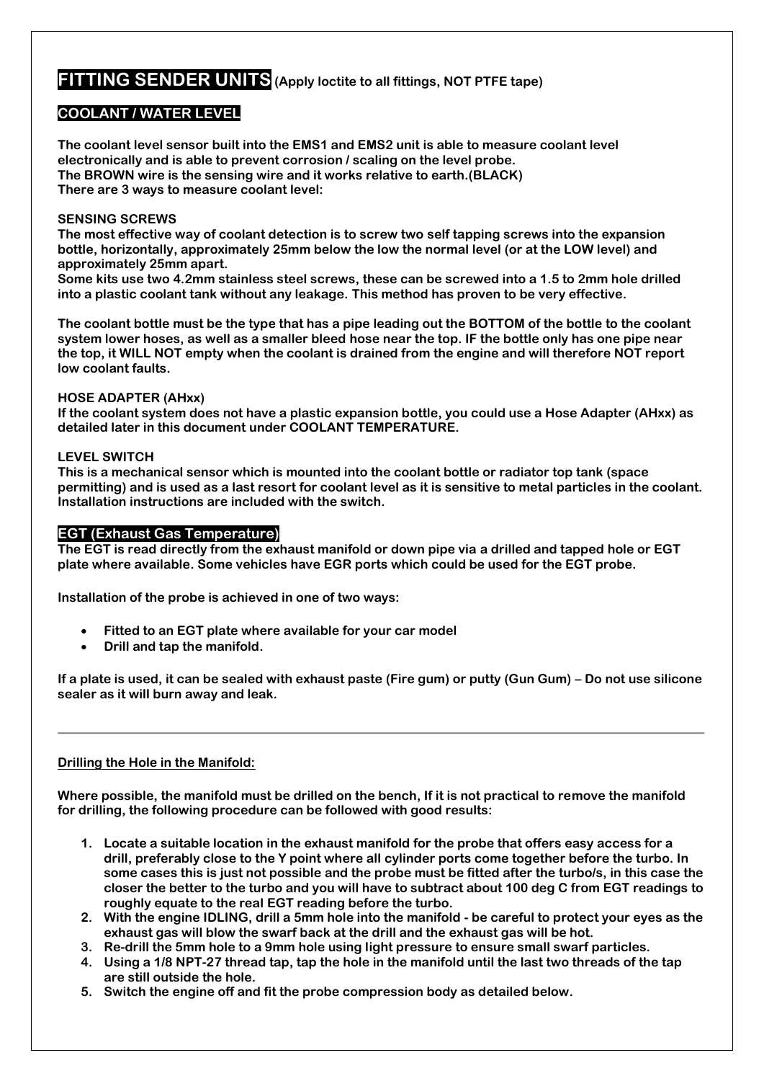# **FITTING SENDER UNITS (Apply loctite to all fittings, NOT PTFE tape)**

### **COOLANT / WATER LEVEL**

**The coolant level sensor built into the EMS1 and EMS2 unit is able to measure coolant level electronically and is able to prevent corrosion / scaling on the level probe. The BROWN wire is the sensing wire and it works relative to earth.(BLACK) There are 3 ways to measure coolant level:** 

#### **SENSING SCREWS**

**The most effective way of coolant detection is to screw two self tapping screws into the expansion bottle, horizontally, approximately 25mm below the low the normal level (or at the LOW level) and approximately 25mm apart.** 

**Some kits use two 4.2mm stainless steel screws, these can be screwed into a 1.5 to 2mm hole drilled into a plastic coolant tank without any leakage. This method has proven to be very effective.**

**The coolant bottle must be the type that has a pipe leading out the BOTTOM of the bottle to the coolant system lower hoses, as well as a smaller bleed hose near the top. IF the bottle only has one pipe near the top, it WILL NOT empty when the coolant is drained from the engine and will therefore NOT report low coolant faults.**

#### **HOSE ADAPTER (AHxx)**

**If the coolant system does not have a plastic expansion bottle, you could use a Hose Adapter (AHxx) as detailed later in this document under COOLANT TEMPERATURE.**

#### **LEVEL SWITCH**

**This is a mechanical sensor which is mounted into the coolant bottle or radiator top tank (space permitting) and is used as a last resort for coolant level as it is sensitive to metal particles in the coolant. Installation instructions are included with the switch.**

#### **EGT (Exhaust Gas Temperature)**

**The EGT is read directly from the exhaust manifold or down pipe via a drilled and tapped hole or EGT plate where available. Some vehicles have EGR ports which could be used for the EGT probe.**

**Installation of the probe is achieved in one of two ways:**

- **Fitted to an EGT plate where available for your car model**
- **Drill and tap the manifold.**

**If a plate is used, it can be sealed with exhaust paste (Fire gum) or putty (Gun Gum) – Do not use silicone sealer as it will burn away and leak.**

#### **Drilling the Hole in the Manifold:**

**Where possible, the manifold must be drilled on the bench, If it is not practical to remove the manifold for drilling, the following procedure can be followed with good results:**

- **1. Locate a suitable location in the exhaust manifold for the probe that offers easy access for a drill, preferably close to the Y point where all cylinder ports come together before the turbo. In some cases this is just not possible and the probe must be fitted after the turbo/s, in this case the closer the better to the turbo and you will have to subtract about 100 deg C from EGT readings to roughly equate to the real EGT reading before the turbo.**
- **2. With the engine IDLING, drill a 5mm hole into the manifold - be careful to protect your eyes as the exhaust gas will blow the swarf back at the drill and the exhaust gas will be hot.**
- **3. Re-drill the 5mm hole to a 9mm hole using light pressure to ensure small swarf particles.**
- **4. Using a 1/8 NPT-27 thread tap, tap the hole in the manifold until the last two threads of the tap are still outside the hole.**
- **5. Switch the engine off and fit the probe compression body as detailed below.**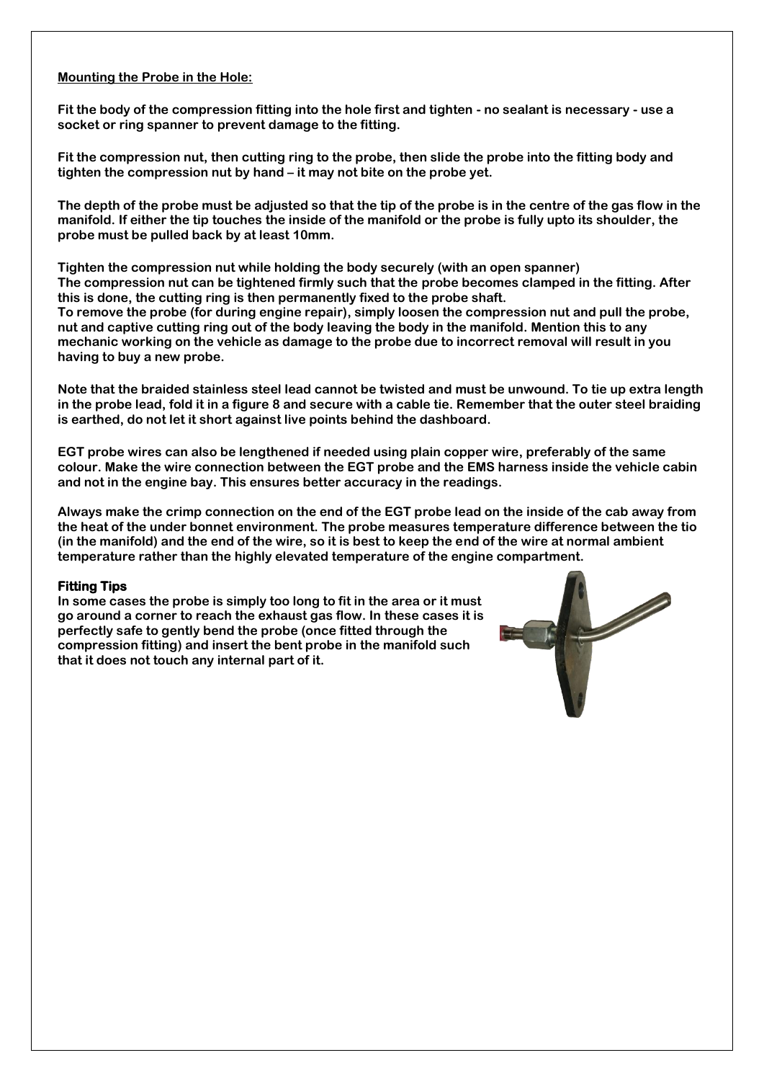#### **Mounting the Probe in the Hole:**

**Fit the body of the compression fitting into the hole first and tighten - no sealant is necessary - use a socket or ring spanner to prevent damage to the fitting.**

**Fit the compression nut, then cutting ring to the probe, then slide the probe into the fitting body and tighten the compression nut by hand – it may not bite on the probe yet.**

**The depth of the probe must be adjusted so that the tip of the probe is in the centre of the gas flow in the manifold. If either the tip touches the inside of the manifold or the probe is fully upto its shoulder, the probe must be pulled back by at least 10mm.**

**Tighten the compression nut while holding the body securely (with an open spanner) The compression nut can be tightened firmly such that the probe becomes clamped in the fitting. After this is done, the cutting ring is then permanently fixed to the probe shaft. To remove the probe (for during engine repair), simply loosen the compression nut and pull the probe, nut and captive cutting ring out of the body leaving the body in the manifold. Mention this to any mechanic working on the vehicle as damage to the probe due to incorrect removal will result in you having to buy a new probe.**

**Note that the braided stainless steel lead cannot be twisted and must be unwound. To tie up extra length in the probe lead, fold it in a figure 8 and secure with a cable tie. Remember that the outer steel braiding is earthed, do not let it short against live points behind the dashboard.**

**EGT probe wires can also be lengthened if needed using plain copper wire, preferably of the same colour. Make the wire connection between the EGT probe and the EMS harness inside the vehicle cabin and not in the engine bay. This ensures better accuracy in the readings.** 

**Always make the crimp connection on the end of the EGT probe lead on the inside of the cab away from the heat of the under bonnet environment. The probe measures temperature difference between the tio (in the manifold) and the end of the wire, so it is best to keep the end of the wire at normal ambient temperature rather than the highly elevated temperature of the engine compartment.**

#### **Fitting Tips**

**In some cases the probe is simply too long to fit in the area or it must go around a corner to reach the exhaust gas flow. In these cases it is perfectly safe to gently bend the probe (once fitted through the compression fitting) and insert the bent probe in the manifold such that it does not touch any internal part of it.**

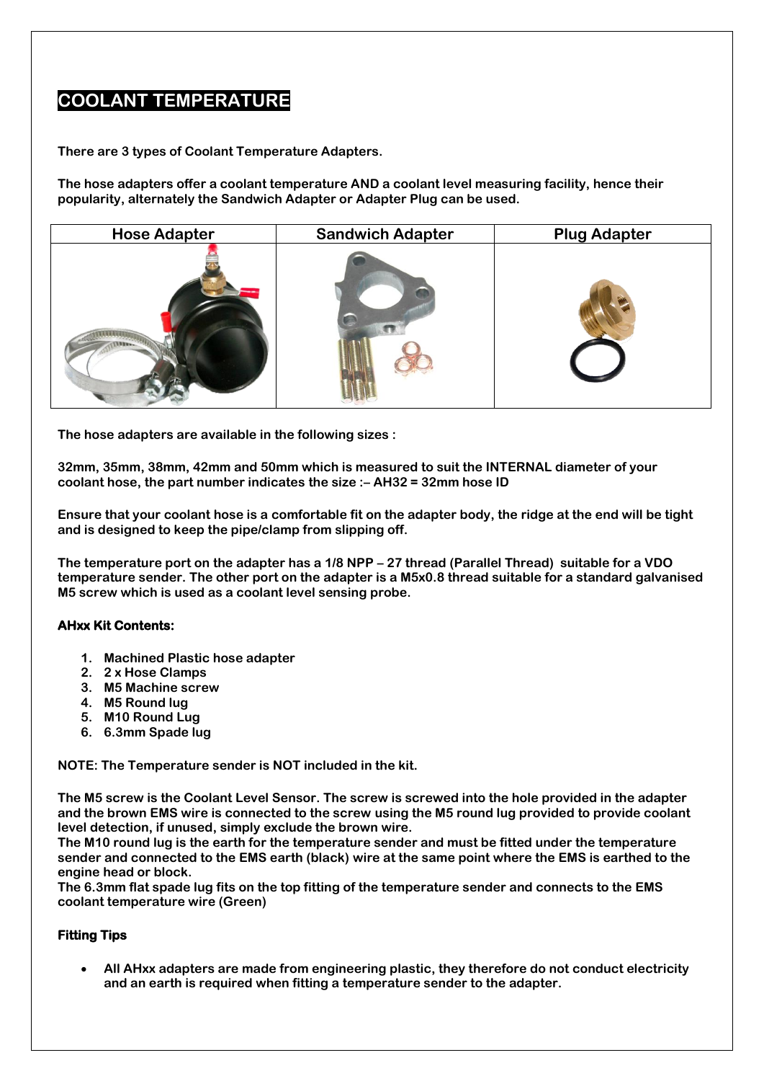# **COOLANT TEMPERATURE**

**There are 3 types of Coolant Temperature Adapters.**

**The hose adapters offer a coolant temperature AND a coolant level measuring facility, hence their popularity, alternately the Sandwich Adapter or Adapter Plug can be used.**



**The hose adapters are available in the following sizes :**

**32mm, 35mm, 38mm, 42mm and 50mm which is measured to suit the INTERNAL diameter of your coolant hose, the part number indicates the size :– AH32 = 32mm hose ID**

**Ensure that your coolant hose is a comfortable fit on the adapter body, the ridge at the end will be tight and is designed to keep the pipe/clamp from slipping off.**

**The temperature port on the adapter has a 1/8 NPP – 27 thread (Parallel Thread) suitable for a VDO temperature sender. The other port on the adapter is a M5x0.8 thread suitable for a standard galvanised M5 screw which is used as a coolant level sensing probe.** 

#### **AHxx Kit Contents:**

- **1. Machined Plastic hose adapter**
- **2. 2 x Hose Clamps**
- **3. M5 Machine screw**
- **4. M5 Round lug**
- **5. M10 Round Lug**
- **6. 6.3mm Spade lug**

**NOTE: The Temperature sender is NOT included in the kit.**

**The M5 screw is the Coolant Level Sensor. The screw is screwed into the hole provided in the adapter and the brown EMS wire is connected to the screw using the M5 round lug provided to provide coolant level detection, if unused, simply exclude the brown wire.**

**The M10 round lug is the earth for the temperature sender and must be fitted under the temperature sender and connected to the EMS earth (black) wire at the same point where the EMS is earthed to the engine head or block.**

**The 6.3mm flat spade lug fits on the top fitting of the temperature sender and connects to the EMS coolant temperature wire (Green)**

#### **Fitting Tips**

• **All AHxx adapters are made from engineering plastic, they therefore do not conduct electricity and an earth is required when fitting a temperature sender to the adapter.**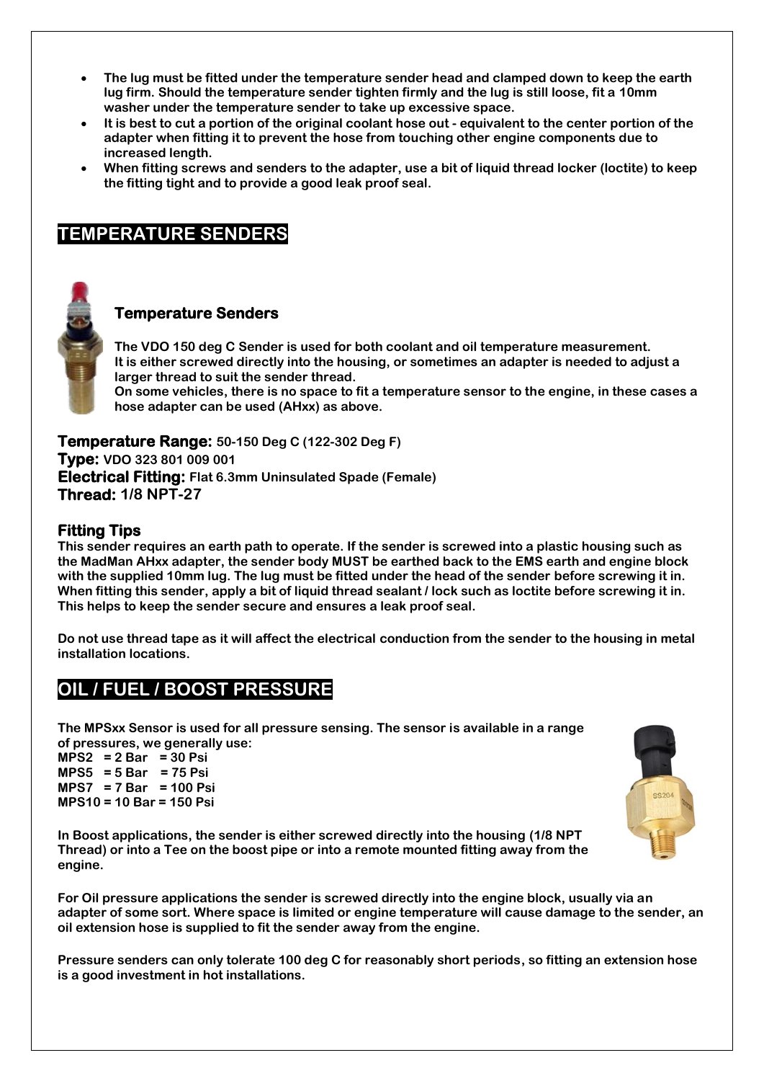- **The lug must be fitted under the temperature sender head and clamped down to keep the earth lug firm. Should the temperature sender tighten firmly and the lug is still loose, fit a 10mm washer under the temperature sender to take up excessive space.**
- **It is best to cut a portion of the original coolant hose out - equivalent to the center portion of the adapter when fitting it to prevent the hose from touching other engine components due to increased length.**
- **When fitting screws and senders to the adapter, use a bit of liquid thread locker (loctite) to keep the fitting tight and to provide a good leak proof seal.**

# **TEMPERATURE SENDERS**



### **Temperature Senders**

**The VDO 150 deg C Sender is used for both coolant and oil temperature measurement. It is either screwed directly into the housing, or sometimes an adapter is needed to adjust a larger thread to suit the sender thread. On some vehicles, there is no space to fit a temperature sensor to the engine, in these cases a** 

**hose adapter can be used (AHxx) as above.**

**Temperature Range: 50-150 Deg C (122-302 Deg F) Type: VDO 323 801 009 001 Electrical Fitting: Flat 6.3mm Uninsulated Spade (Female) Thread: 1/8 NPT-27**

### **Fitting Tips**

**This sender requires an earth path to operate. If the sender is screwed into a plastic housing such as the MadMan AHxx adapter, the sender body MUST be earthed back to the EMS earth and engine block with the supplied 10mm lug. The lug must be fitted under the head of the sender before screwing it in. When fitting this sender, apply a bit of liquid thread sealant / lock such as loctite before screwing it in. This helps to keep the sender secure and ensures a leak proof seal.**

**Do not use thread tape as it will affect the electrical conduction from the sender to the housing in metal installation locations.**

# **OIL / FUEL / BOOST PRESSURE**

**The MPSxx Sensor is used for all pressure sensing. The sensor is available in a range of pressures, we generally use:**

**MPS2 = 2 Bar = 30 Psi MPS5 = 5 Bar = 75 Psi MPS7 = 7 Bar = 100 Psi MPS10 = 10 Bar = 150 Psi**

**In Boost applications, the sender is either screwed directly into the housing (1/8 NPT Thread) or into a Tee on the boost pipe or into a remote mounted fitting away from the engine.**

**For Oil pressure applications the sender is screwed directly into the engine block, usually via an adapter of some sort. Where space is limited or engine temperature will cause damage to the sender, an oil extension hose is supplied to fit the sender away from the engine.** 

**Pressure senders can only tolerate 100 deg C for reasonably short periods, so fitting an extension hose is a good investment in hot installations.**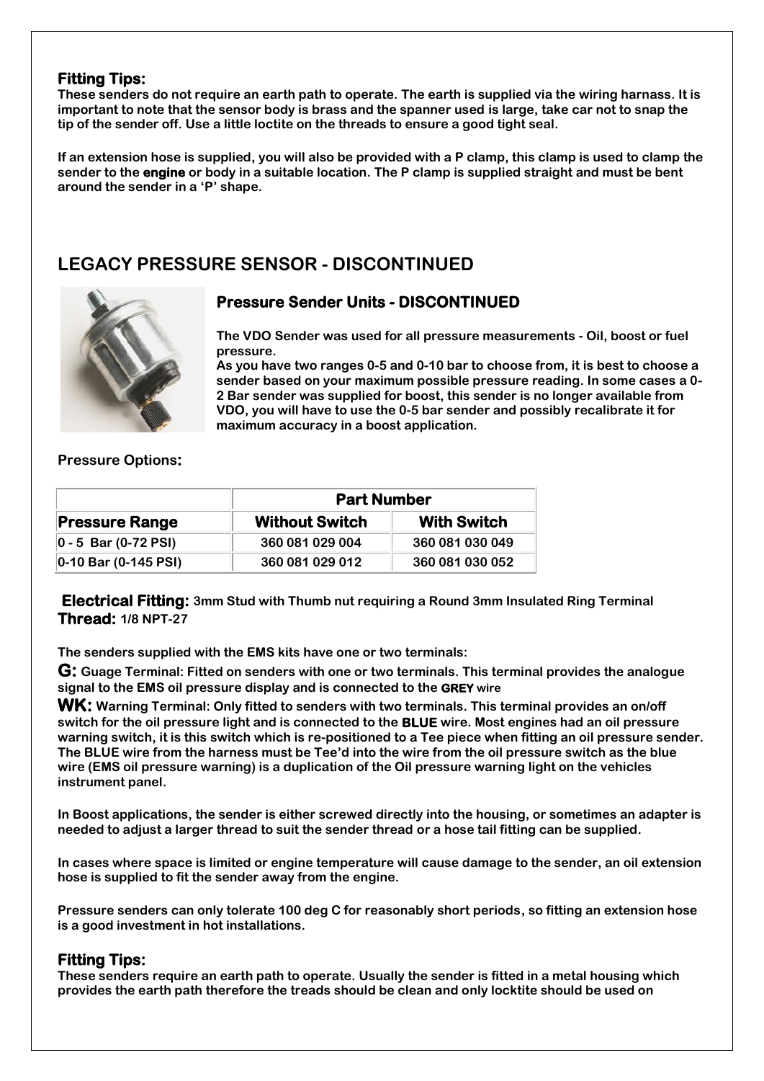### **Fitting Tips:**

**These senders do not require an earth path to operate. The earth is supplied via the wiring harnass. It is important to note that the sensor body is brass and the spanner used is large, take car not to snap the tip of the sender off. Use a little loctite on the threads to ensure a good tight seal.** 

**If an extension hose is supplied, you will also be provided with a P clamp, this clamp is used to clamp the sender to the engine or body in a suitable location. The P clamp is supplied straight and must be bent around the sender in a 'P' shape.**

# **LEGACY PRESSURE SENSOR - DISCONTINUED**



### **Pressure Sender Units - DISCONTINUED**

**The VDO Sender was used for all pressure measurements - Oil, boost or fuel pressure.**

**As you have two ranges 0-5 and 0-10 bar to choose from, it is best to choose a sender based on your maximum possible pressure reading. In some cases a 0- 2 Bar sender was supplied for boost, this sender is no longer available from VDO, you will have to use the 0-5 bar sender and possibly recalibrate it for maximum accuracy in a boost application.**

### **Pressure Options:**

| <b>Pressure Range</b>   | <b>Part Number</b>    |                    |
|-------------------------|-----------------------|--------------------|
|                         | <b>Without Switch</b> | <b>With Switch</b> |
| $ 0 - 5$ Bar (0-72 PSI) | 360 081 029 004       | 360 081 030 049    |
| $ 0-10$ Bar (0-145 PSI) | 360 081 029 012       | 360 081 030 052    |

**Electrical Fitting: 3mm Stud with Thumb nut requiring a Round 3mm Insulated Ring Terminal Thread: 1/8 NPT-27**

**The senders supplied with the EMS kits have one or two terminals:**

**G: Guage Terminal: Fitted on senders with one or two terminals. This terminal provides the analogue signal to the EMS oil pressure display and is connected to the GREY wire**

**WK: Warning Terminal: Only fitted to senders with two terminals. This terminal provides an on/off switch for the oil pressure light and is connected to the BLUE wire. Most engines had an oil pressure warning switch, it is this switch which is re-positioned to a Tee piece when fitting an oil pressure sender. The BLUE wire from the harness must be Tee'd into the wire from the oil pressure switch as the blue wire (EMS oil pressure warning) is a duplication of the Oil pressure warning light on the vehicles instrument panel.**

**In Boost applications, the sender is either screwed directly into the housing, or sometimes an adapter is needed to adjust a larger thread to suit the sender thread or a hose tail fitting can be supplied.**

**In cases where space is limited or engine temperature will cause damage to the sender, an oil extension hose is supplied to fit the sender away from the engine.** 

**Pressure senders can only tolerate 100 deg C for reasonably short periods, so fitting an extension hose is a good investment in hot installations.**

### **Fitting Tips:**

**These senders require an earth path to operate. Usually the sender is fitted in a metal housing which provides the earth path therefore the treads should be clean and only locktite should be used on**